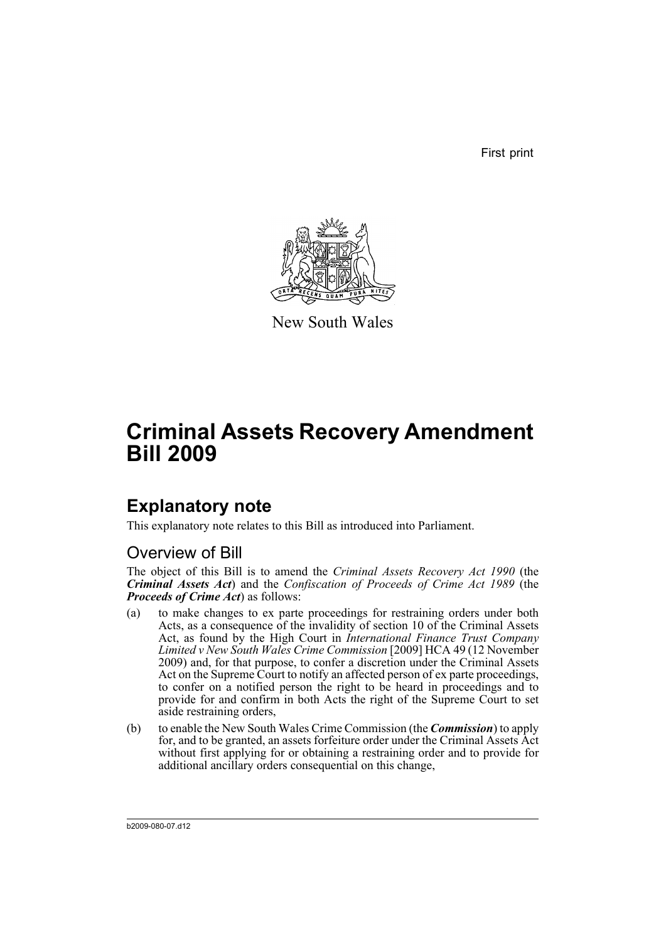First print



New South Wales

# **Criminal Assets Recovery Amendment Bill 2009**

## **Explanatory note**

This explanatory note relates to this Bill as introduced into Parliament.

## Overview of Bill

The object of this Bill is to amend the *Criminal Assets Recovery Act 1990* (the *Criminal Assets Act*) and the *Confiscation of Proceeds of Crime Act 1989* (the *Proceeds of Crime Act*) as follows:

- (a) to make changes to ex parte proceedings for restraining orders under both Acts, as a consequence of the invalidity of section 10 of the Criminal Assets Act, as found by the High Court in *International Finance Trust Company Limited v New South Wales Crime Commission* [2009] HCA 49 (12 November 2009) and, for that purpose, to confer a discretion under the Criminal Assets Act on the Supreme Court to notify an affected person of ex parte proceedings, to confer on a notified person the right to be heard in proceedings and to provide for and confirm in both Acts the right of the Supreme Court to set aside restraining orders,
- (b) to enable the New South Wales Crime Commission (the *Commission*) to apply for, and to be granted, an assets forfeiture order under the Criminal Assets Act without first applying for or obtaining a restraining order and to provide for additional ancillary orders consequential on this change,

b2009-080-07.d12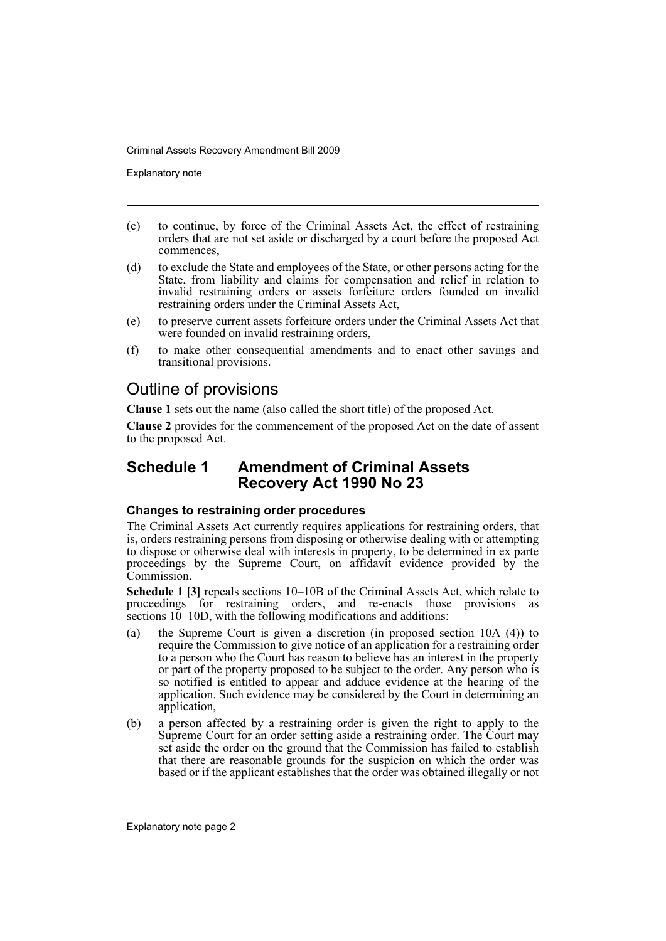Explanatory note

- (c) to continue, by force of the Criminal Assets Act, the effect of restraining orders that are not set aside or discharged by a court before the proposed Act commences,
- (d) to exclude the State and employees of the State, or other persons acting for the State, from liability and claims for compensation and relief in relation to invalid restraining orders or assets forfeiture orders founded on invalid restraining orders under the Criminal Assets Act,
- (e) to preserve current assets forfeiture orders under the Criminal Assets Act that were founded on invalid restraining orders,
- (f) to make other consequential amendments and to enact other savings and transitional provisions.

## Outline of provisions

**Clause 1** sets out the name (also called the short title) of the proposed Act.

**Clause 2** provides for the commencement of the proposed Act on the date of assent to the proposed Act.

## **Schedule 1 Amendment of Criminal Assets Recovery Act 1990 No 23**

#### **Changes to restraining order procedures**

The Criminal Assets Act currently requires applications for restraining orders, that is, orders restraining persons from disposing or otherwise dealing with or attempting to dispose or otherwise deal with interests in property, to be determined in ex parte proceedings by the Supreme Court, on affidavit evidence provided by the Commission.

**Schedule 1 [3]** repeals sections 10–10B of the Criminal Assets Act, which relate to proceedings for restraining orders, and re-enacts those provisions as sections  $10-10D$ , with the following modifications and additions:

- (a) the Supreme Court is given a discretion (in proposed section 10A (4)) to require the Commission to give notice of an application for a restraining order to a person who the Court has reason to believe has an interest in the property or part of the property proposed to be subject to the order. Any person who is so notified is entitled to appear and adduce evidence at the hearing of the application. Such evidence may be considered by the Court in determining an application,
- (b) a person affected by a restraining order is given the right to apply to the Supreme Court for an order setting aside a restraining order. The Court may set aside the order on the ground that the Commission has failed to establish that there are reasonable grounds for the suspicion on which the order was based or if the applicant establishes that the order was obtained illegally or not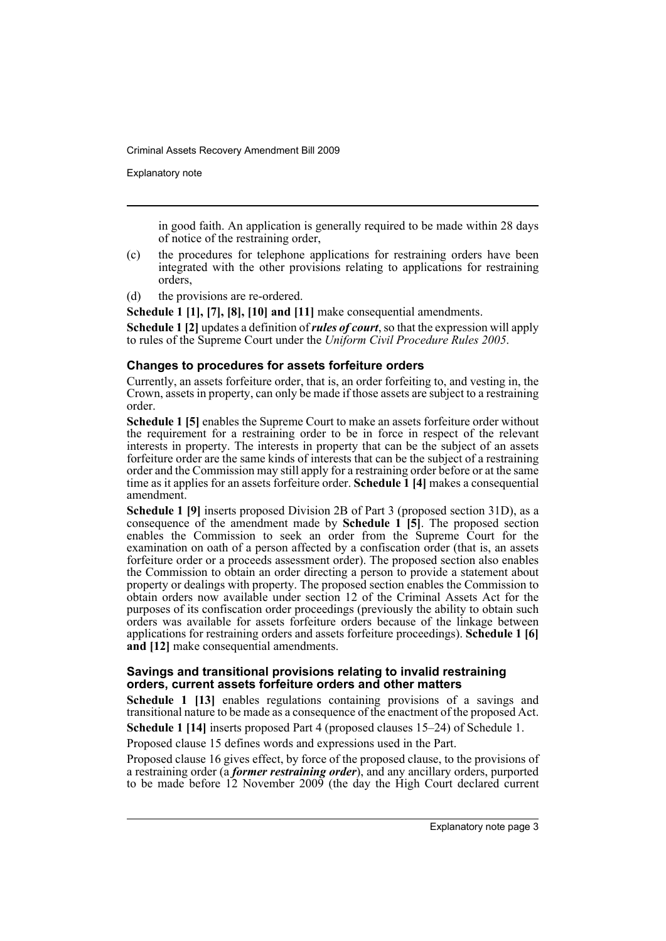Explanatory note

in good faith. An application is generally required to be made within 28 days of notice of the restraining order,

- (c) the procedures for telephone applications for restraining orders have been integrated with the other provisions relating to applications for restraining orders,
- (d) the provisions are re-ordered.

**Schedule 1 [1], [7], [8], [10] and [11]** make consequential amendments.

**Schedule 1 [2]** updates a definition of *rules of court*, so that the expression will apply to rules of the Supreme Court under the *Uniform Civil Procedure Rules 2005*.

#### **Changes to procedures for assets forfeiture orders**

Currently, an assets forfeiture order, that is, an order forfeiting to, and vesting in, the Crown, assets in property, can only be made if those assets are subject to a restraining order.

**Schedule 1 [5]** enables the Supreme Court to make an assets forfeiture order without the requirement for a restraining order to be in force in respect of the relevant interests in property. The interests in property that can be the subject of an assets forfeiture order are the same kinds of interests that can be the subject of a restraining order and the Commission may still apply for a restraining order before or at the same time as it applies for an assets forfeiture order. **Schedule 1 [4]** makes a consequential amendment.

**Schedule 1 [9]** inserts proposed Division 2B of Part 3 (proposed section 31D), as a consequence of the amendment made by **Schedule 1 [5]**. The proposed section enables the Commission to seek an order from the Supreme Court for the examination on oath of a person affected by a confiscation order (that is, an assets forfeiture order or a proceeds assessment order). The proposed section also enables the Commission to obtain an order directing a person to provide a statement about property or dealings with property. The proposed section enables the Commission to obtain orders now available under section 12 of the Criminal Assets Act for the purposes of its confiscation order proceedings (previously the ability to obtain such orders was available for assets forfeiture orders because of the linkage between applications for restraining orders and assets forfeiture proceedings). **Schedule 1 [6] and [12]** make consequential amendments.

#### **Savings and transitional provisions relating to invalid restraining orders, current assets forfeiture orders and other matters**

**Schedule 1 [13]** enables regulations containing provisions of a savings and transitional nature to be made as a consequence of the enactment of the proposed Act.

**Schedule 1 [14]** inserts proposed Part 4 (proposed clauses 15–24) of Schedule 1.

Proposed clause 15 defines words and expressions used in the Part.

Proposed clause 16 gives effect, by force of the proposed clause, to the provisions of a restraining order (a *former restraining order*), and any ancillary orders, purported to be made before 12 November 2009 (the day the High Court declared current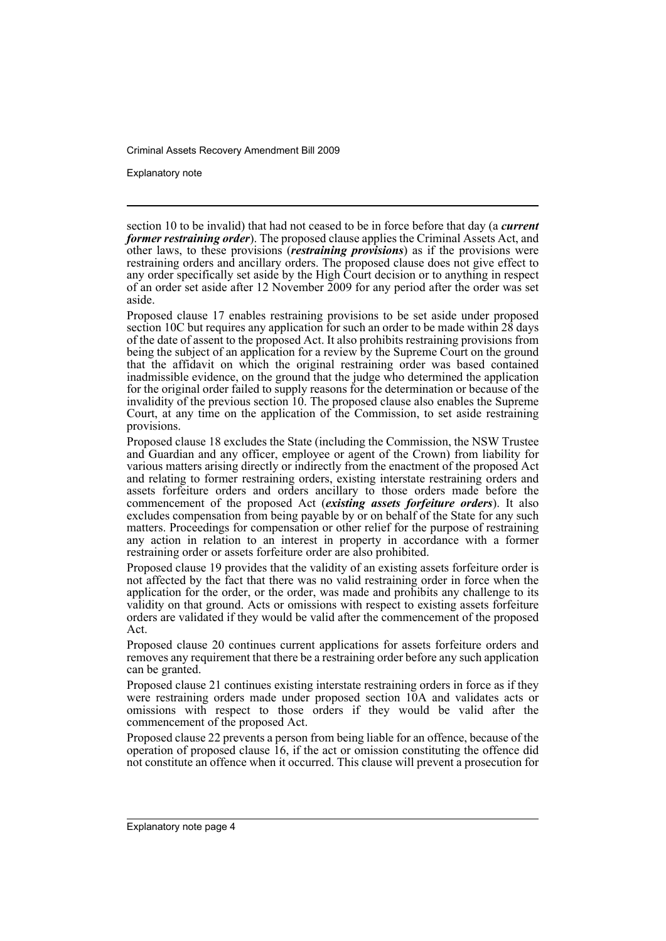Explanatory note

section 10 to be invalid) that had not ceased to be in force before that day (a *current former restraining order*). The proposed clause applies the Criminal Assets Act, and other laws, to these provisions (*restraining provisions*) as if the provisions were restraining orders and ancillary orders. The proposed clause does not give effect to any order specifically set aside by the High Court decision or to anything in respect of an order set aside after 12 November 2009 for any period after the order was set aside.

Proposed clause 17 enables restraining provisions to be set aside under proposed section 10C but requires any application for such an order to be made within 28 days of the date of assent to the proposed Act. It also prohibits restraining provisions from being the subject of an application for a review by the Supreme Court on the ground that the affidavit on which the original restraining order was based contained inadmissible evidence, on the ground that the judge who determined the application for the original order failed to supply reasons for the determination or because of the invalidity of the previous section 10. The proposed clause also enables the Supreme Court, at any time on the application of the Commission, to set aside restraining provisions.

Proposed clause 18 excludes the State (including the Commission, the NSW Trustee and Guardian and any officer, employee or agent of the Crown) from liability for various matters arising directly or indirectly from the enactment of the proposed Act and relating to former restraining orders, existing interstate restraining orders and assets forfeiture orders and orders ancillary to those orders made before the commencement of the proposed Act (*existing assets forfeiture orders*). It also excludes compensation from being payable by or on behalf of the State for any such matters. Proceedings for compensation or other relief for the purpose of restraining any action in relation to an interest in property in accordance with a former restraining order or assets forfeiture order are also prohibited.

Proposed clause 19 provides that the validity of an existing assets forfeiture order is not affected by the fact that there was no valid restraining order in force when the application for the order, or the order, was made and prohibits any challenge to its validity on that ground. Acts or omissions with respect to existing assets forfeiture orders are validated if they would be valid after the commencement of the proposed Act.

Proposed clause 20 continues current applications for assets forfeiture orders and removes any requirement that there be a restraining order before any such application can be granted.

Proposed clause 21 continues existing interstate restraining orders in force as if they were restraining orders made under proposed section 10A and validates acts or omissions with respect to those orders if they would be valid after the commencement of the proposed Act.

Proposed clause 22 prevents a person from being liable for an offence, because of the operation of proposed clause 16, if the act or omission constituting the offence did not constitute an offence when it occurred. This clause will prevent a prosecution for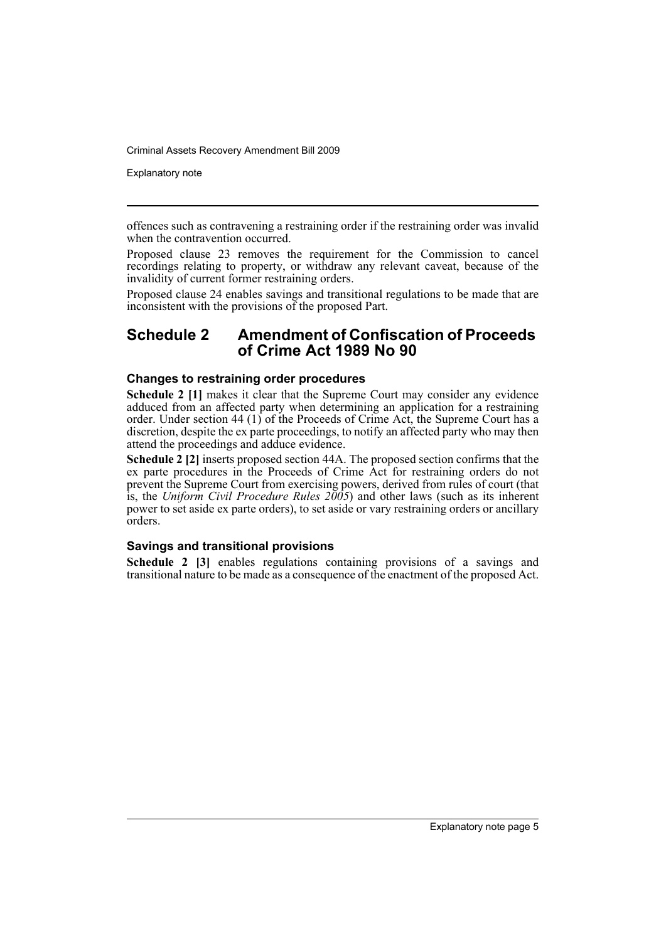Explanatory note

offences such as contravening a restraining order if the restraining order was invalid when the contravention occurred.

Proposed clause 23 removes the requirement for the Commission to cancel recordings relating to property, or withdraw any relevant caveat, because of the invalidity of current former restraining orders.

Proposed clause 24 enables savings and transitional regulations to be made that are inconsistent with the provisions of the proposed Part.

### **Schedule 2 Amendment of Confiscation of Proceeds of Crime Act 1989 No 90**

#### **Changes to restraining order procedures**

**Schedule 2 [1]** makes it clear that the Supreme Court may consider any evidence adduced from an affected party when determining an application for a restraining order. Under section 44 (1) of the Proceeds of Crime Act, the Supreme Court has a discretion, despite the ex parte proceedings, to notify an affected party who may then attend the proceedings and adduce evidence.

**Schedule 2 [2]** inserts proposed section 44A. The proposed section confirms that the ex parte procedures in the Proceeds of Crime Act for restraining orders do not prevent the Supreme Court from exercising powers, derived from rules of court (that is, the *Uniform Civil Procedure Rules 2005*) and other laws (such as its inherent power to set aside ex parte orders), to set aside or vary restraining orders or ancillary orders.

#### **Savings and transitional provisions**

**Schedule 2 [3]** enables regulations containing provisions of a savings and transitional nature to be made as a consequence of the enactment of the proposed Act.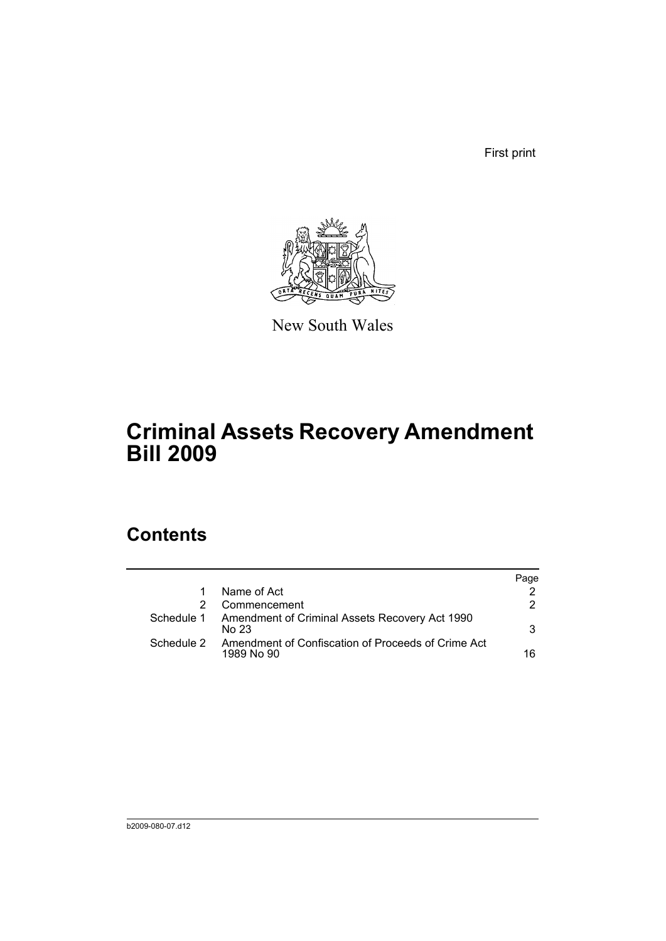First print



New South Wales

# **Criminal Assets Recovery Amendment Bill 2009**

## **Contents**

|            |                                                                  | Page |
|------------|------------------------------------------------------------------|------|
|            | Name of Act                                                      |      |
|            | Commencement                                                     | 2.   |
| Schedule 1 | Amendment of Criminal Assets Recovery Act 1990<br>No 23          | 3    |
| Schedule 2 | Amendment of Confiscation of Proceeds of Crime Act<br>1989 No 90 | 16   |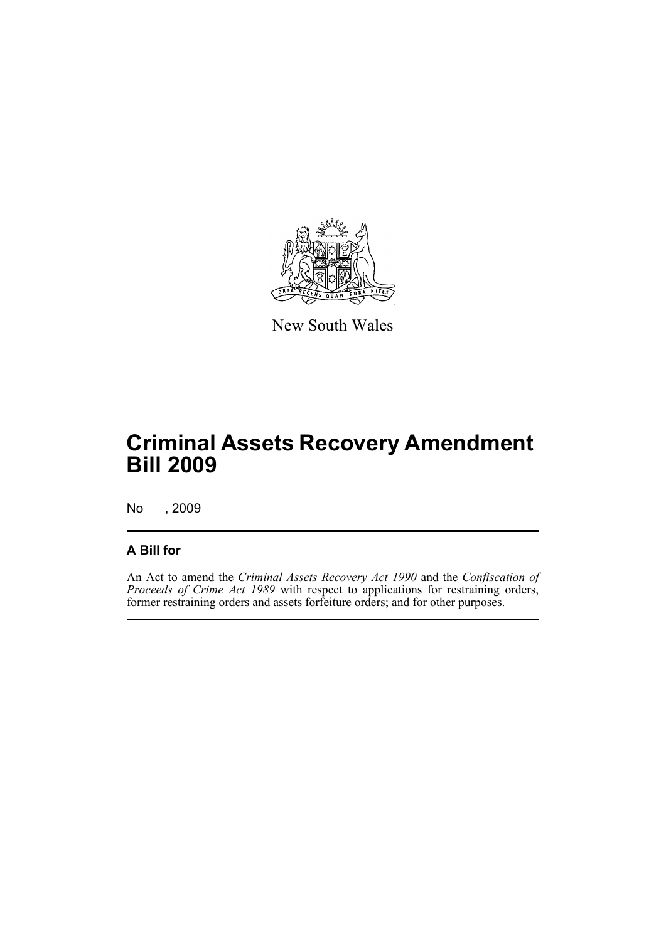

New South Wales

# **Criminal Assets Recovery Amendment Bill 2009**

No , 2009

## **A Bill for**

An Act to amend the *Criminal Assets Recovery Act 1990* and the *Confiscation of Proceeds of Crime Act 1989* with respect to applications for restraining orders, former restraining orders and assets forfeiture orders; and for other purposes.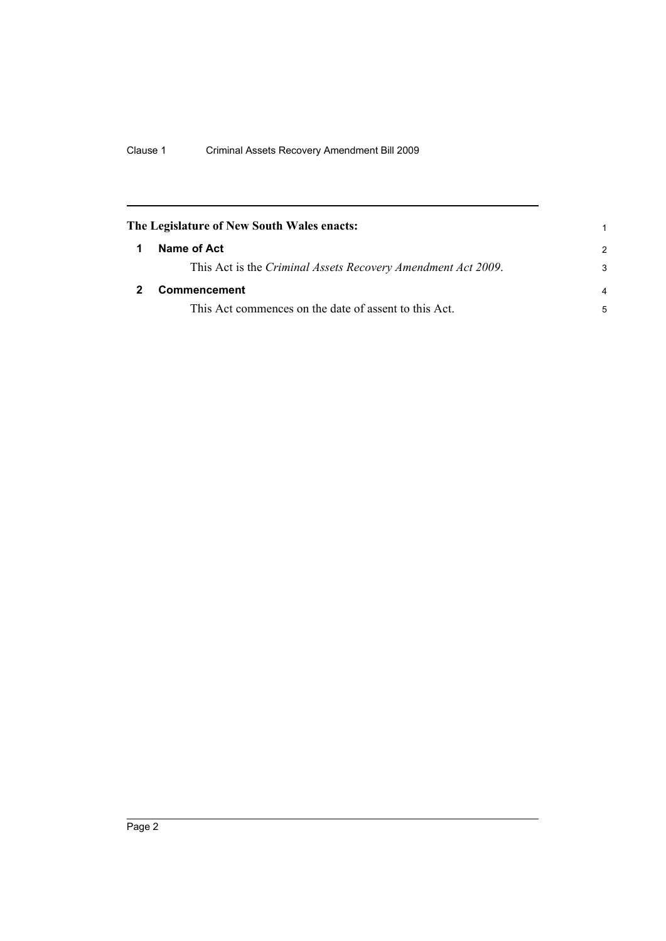<span id="page-9-1"></span><span id="page-9-0"></span>

|   | The Legislature of New South Wales enacts:                   |                |
|---|--------------------------------------------------------------|----------------|
| 1 | Name of Act                                                  | $\mathcal{P}$  |
|   | This Act is the Criminal Assets Recovery Amendment Act 2009. | 3              |
|   | Commencement                                                 | $\overline{a}$ |
|   | This Act commences on the date of assent to this Act.        | 5              |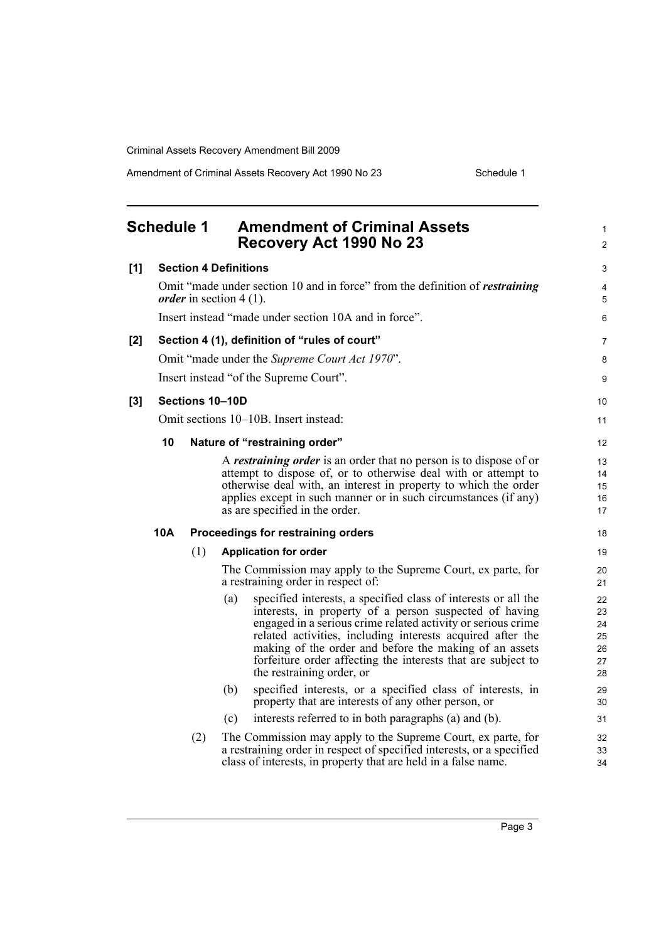Amendment of Criminal Assets Recovery Act 1990 No 23 Schedule 1

<span id="page-10-0"></span>

|       | <b>Schedule 1</b> |     | <b>Amendment of Criminal Assets</b><br>Recovery Act 1990 No 23                                                                                                                                                                                                                                                                                                                                                       | 1<br>$\overline{2}$                    |
|-------|-------------------|-----|----------------------------------------------------------------------------------------------------------------------------------------------------------------------------------------------------------------------------------------------------------------------------------------------------------------------------------------------------------------------------------------------------------------------|----------------------------------------|
| [1]   |                   |     | <b>Section 4 Definitions</b>                                                                                                                                                                                                                                                                                                                                                                                         | 3                                      |
|       |                   |     | Omit "made under section 10 and in force" from the definition of <i>restraining</i><br><i>order</i> in section 4 (1).                                                                                                                                                                                                                                                                                                | 4<br>5                                 |
|       |                   |     | Insert instead "made under section 10A and in force".                                                                                                                                                                                                                                                                                                                                                                | 6                                      |
| [2]   |                   |     | Section 4 (1), definition of "rules of court"                                                                                                                                                                                                                                                                                                                                                                        | 7                                      |
|       |                   |     | Omit "made under the Supreme Court Act 1970".                                                                                                                                                                                                                                                                                                                                                                        | 8                                      |
|       |                   |     | Insert instead "of the Supreme Court".                                                                                                                                                                                                                                                                                                                                                                               | 9                                      |
| $[3]$ |                   |     | Sections 10-10D                                                                                                                                                                                                                                                                                                                                                                                                      | 10                                     |
|       |                   |     | Omit sections 10–10B. Insert instead:                                                                                                                                                                                                                                                                                                                                                                                | 11                                     |
|       | 10                |     | Nature of "restraining order"                                                                                                                                                                                                                                                                                                                                                                                        | 12                                     |
|       |                   |     | A <i>restraining order</i> is an order that no person is to dispose of or<br>attempt to dispose of, or to otherwise deal with or attempt to<br>otherwise deal with, an interest in property to which the order<br>applies except in such manner or in such circumstances (if any)<br>as are specified in the order.                                                                                                  | 13<br>14<br>15<br>16<br>17             |
|       | 10A               |     | Proceedings for restraining orders                                                                                                                                                                                                                                                                                                                                                                                   | 18                                     |
|       |                   | (1) | <b>Application for order</b>                                                                                                                                                                                                                                                                                                                                                                                         | 19                                     |
|       |                   |     | The Commission may apply to the Supreme Court, ex parte, for<br>a restraining order in respect of:                                                                                                                                                                                                                                                                                                                   | 20<br>21                               |
|       |                   |     | specified interests, a specified class of interests or all the<br>(a)<br>interests, in property of a person suspected of having<br>engaged in a serious crime related activity or serious crime<br>related activities, including interests acquired after the<br>making of the order and before the making of an assets<br>forfeiture order affecting the interests that are subject to<br>the restraining order, or | 22<br>23<br>24<br>25<br>26<br>27<br>28 |
|       |                   |     | specified interests, or a specified class of interests, in<br>(b)<br>property that are interests of any other person, or                                                                                                                                                                                                                                                                                             | 29<br>30                               |
|       |                   |     | interests referred to in both paragraphs (a) and (b).<br>(c)                                                                                                                                                                                                                                                                                                                                                         | 31                                     |
|       |                   | (2) | The Commission may apply to the Supreme Court, ex parte, for<br>a restraining order in respect of specified interests, or a specified<br>class of interests, in property that are held in a false name.                                                                                                                                                                                                              | 32<br>33<br>34                         |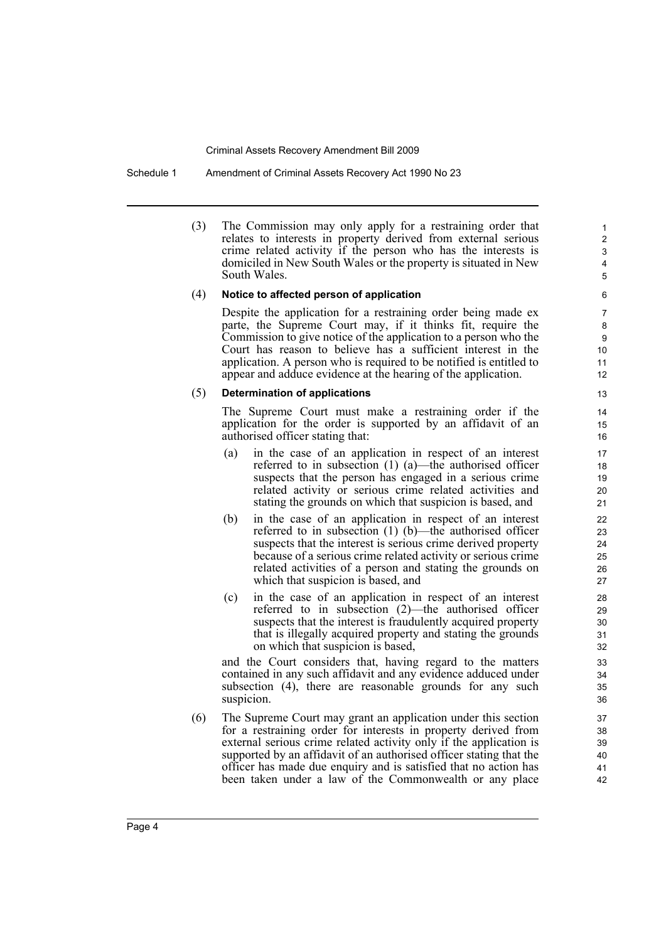Schedule 1 Amendment of Criminal Assets Recovery Act 1990 No 23

(3) The Commission may only apply for a restraining order that relates to interests in property derived from external serious crime related activity if the person who has the interests is domiciled in New South Wales or the property is situated in New South Wales.

#### (4) **Notice to affected person of application**

Despite the application for a restraining order being made ex parte, the Supreme Court may, if it thinks fit, require the Commission to give notice of the application to a person who the Court has reason to believe has a sufficient interest in the application. A person who is required to be notified is entitled to appear and adduce evidence at the hearing of the application.

#### (5) **Determination of applications**

The Supreme Court must make a restraining order if the application for the order is supported by an affidavit of an authorised officer stating that:

- (a) in the case of an application in respect of an interest referred to in subsection (1) (a)—the authorised officer suspects that the person has engaged in a serious crime related activity or serious crime related activities and stating the grounds on which that suspicion is based, and
- (b) in the case of an application in respect of an interest referred to in subsection (1) (b)—the authorised officer suspects that the interest is serious crime derived property because of a serious crime related activity or serious crime related activities of a person and stating the grounds on which that suspicion is based, and
- (c) in the case of an application in respect of an interest referred to in subsection (2)—the authorised officer suspects that the interest is fraudulently acquired property that is illegally acquired property and stating the grounds on which that suspicion is based,

and the Court considers that, having regard to the matters contained in any such affidavit and any evidence adduced under subsection (4), there are reasonable grounds for any such suspicion.

(6) The Supreme Court may grant an application under this section for a restraining order for interests in property derived from external serious crime related activity only if the application is supported by an affidavit of an authorised officer stating that the officer has made due enquiry and is satisfied that no action has been taken under a law of the Commonwealth or any place

12 13

14

> 40 41 42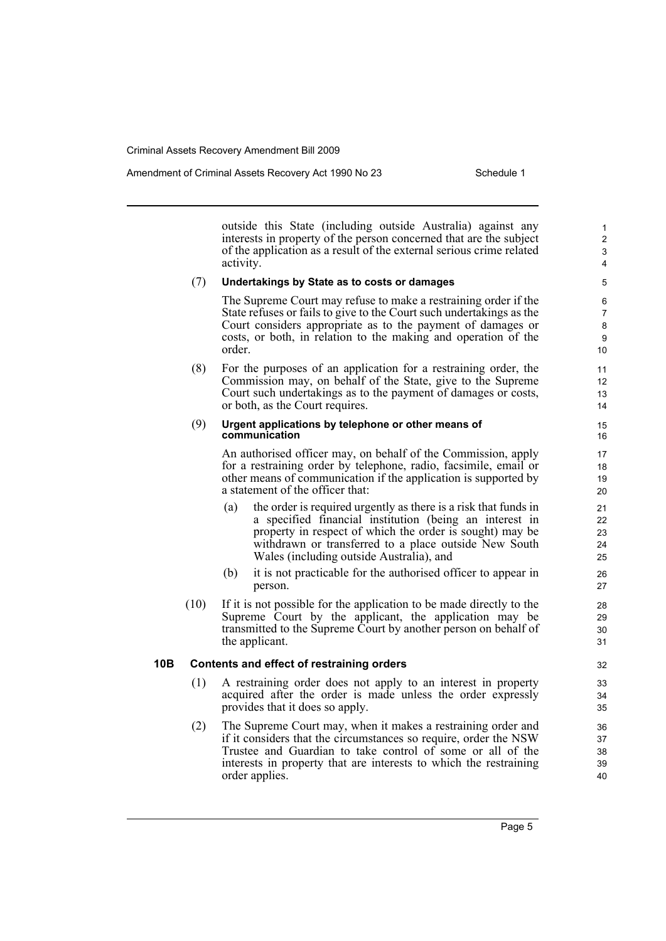outside this State (including outside Australia) against any interests in property of the person concerned that are the subject of the application as a result of the external serious crime related activity.

#### (7) **Undertakings by State as to costs or damages**

The Supreme Court may refuse to make a restraining order if the State refuses or fails to give to the Court such undertakings as the Court considers appropriate as to the payment of damages or costs, or both, in relation to the making and operation of the order.

(8) For the purposes of an application for a restraining order, the Commission may, on behalf of the State, give to the Supreme Court such undertakings as to the payment of damages or costs, or both, as the Court requires.

#### (9) **Urgent applications by telephone or other means of communication**

An authorised officer may, on behalf of the Commission, apply for a restraining order by telephone, radio, facsimile, email or other means of communication if the application is supported by a statement of the officer that:

- (a) the order is required urgently as there is a risk that funds in a specified financial institution (being an interest in property in respect of which the order is sought) may be withdrawn or transferred to a place outside New South Wales (including outside Australia), and
- (b) it is not practicable for the authorised officer to appear in person.
- (10) If it is not possible for the application to be made directly to the Supreme Court by the applicant, the application may be transmitted to the Supreme Court by another person on behalf of the applicant.

#### **10B Contents and effect of restraining orders**

- (1) A restraining order does not apply to an interest in property acquired after the order is made unless the order expressly provides that it does so apply.
- (2) The Supreme Court may, when it makes a restraining order and if it considers that the circumstances so require, order the NSW Trustee and Guardian to take control of some or all of the interests in property that are interests to which the restraining order applies.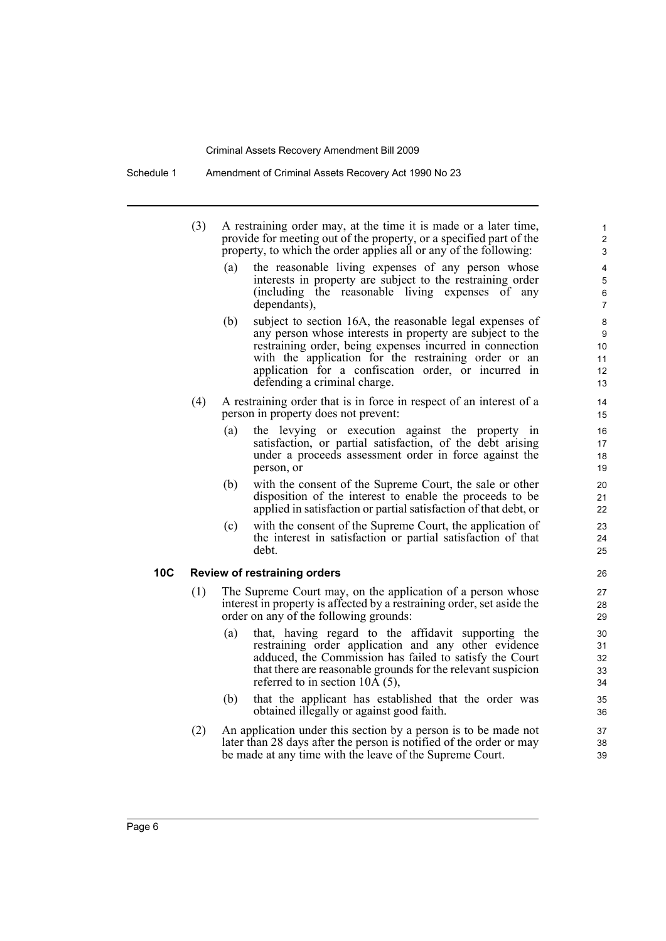Schedule 1 Amendment of Criminal Assets Recovery Act 1990 No 23

| (3) | A restraining order may, at the time it is made or a later time,    |
|-----|---------------------------------------------------------------------|
|     | provide for meeting out of the property, or a specified part of the |
|     | property, to which the order applies all or any of the following:   |

(a) the reasonable living expenses of any person whose interests in property are subject to the restraining order (including the reasonable living expenses of any dependants),

- (b) subject to section 16A, the reasonable legal expenses of any person whose interests in property are subject to the restraining order, being expenses incurred in connection with the application for the restraining order or an application for a confiscation order, or incurred in defending a criminal charge.
- (4) A restraining order that is in force in respect of an interest of a person in property does not prevent:
	- (a) the levying or execution against the property in satisfaction, or partial satisfaction, of the debt arising under a proceeds assessment order in force against the person, or
	- (b) with the consent of the Supreme Court, the sale or other disposition of the interest to enable the proceeds to be applied in satisfaction or partial satisfaction of that debt, or
	- (c) with the consent of the Supreme Court, the application of the interest in satisfaction or partial satisfaction of that debt.

#### **10C Review of restraining orders**

- (1) The Supreme Court may, on the application of a person whose interest in property is affected by a restraining order, set aside the order on any of the following grounds:
	- (a) that, having regard to the affidavit supporting the restraining order application and any other evidence adduced, the Commission has failed to satisfy the Court that there are reasonable grounds for the relevant suspicion referred to in section 10A (5),
	- (b) that the applicant has established that the order was obtained illegally or against good faith.
- (2) An application under this section by a person is to be made not later than 28 days after the person is notified of the order or may be made at any time with the leave of the Supreme Court.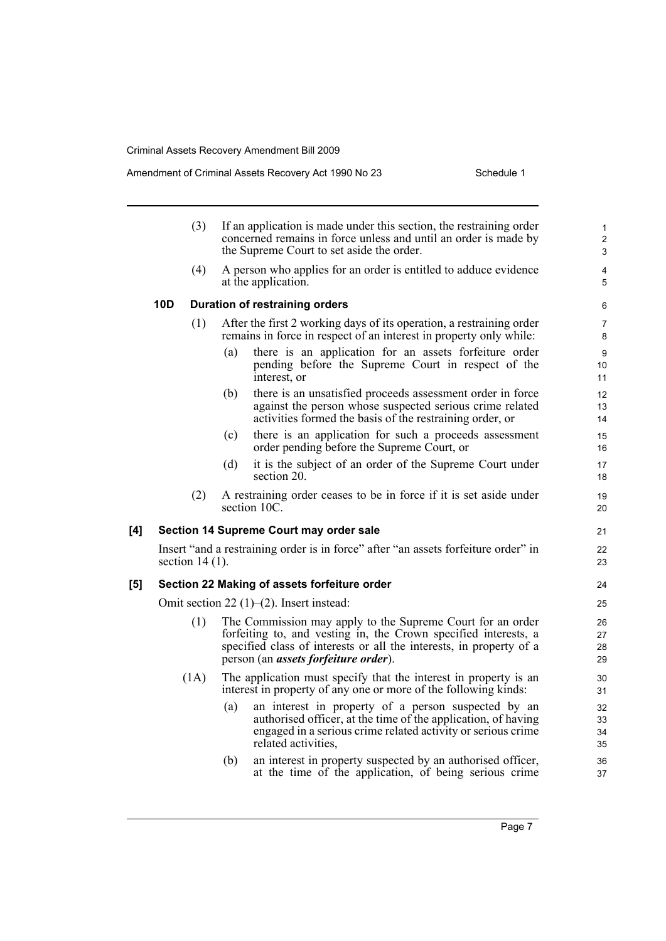#### Amendment of Criminal Assets Recovery Act 1990 No 23 Schedule 1

|     |     | (3)               |     | If an application is made under this section, the restraining order<br>concerned remains in force unless and until an order is made by<br>the Supreme Court to set aside the order.                                                                  | $\mathbf{1}$<br>$\mathbf 2$<br>3 |
|-----|-----|-------------------|-----|------------------------------------------------------------------------------------------------------------------------------------------------------------------------------------------------------------------------------------------------------|----------------------------------|
|     |     | (4)               |     | A person who applies for an order is entitled to adduce evidence<br>at the application.                                                                                                                                                              | 4<br>5                           |
|     | 10D |                   |     | <b>Duration of restraining orders</b>                                                                                                                                                                                                                | 6                                |
|     |     | (1)               |     | After the first 2 working days of its operation, a restraining order<br>remains in force in respect of an interest in property only while:                                                                                                           | 7<br>8                           |
|     |     |                   | (a) | there is an application for an assets forfeiture order<br>pending before the Supreme Court in respect of the<br>interest, or                                                                                                                         | 9<br>10<br>11                    |
|     |     |                   | (b) | there is an unsatisfied proceeds assessment order in force<br>against the person whose suspected serious crime related<br>activities formed the basis of the restraining order, or                                                                   | 12<br>13<br>14                   |
|     |     |                   | (c) | there is an application for such a proceeds assessment<br>order pending before the Supreme Court, or                                                                                                                                                 | 15<br>16                         |
|     |     |                   | (d) | it is the subject of an order of the Supreme Court under<br>section 20.                                                                                                                                                                              | 17<br>18                         |
|     |     | (2)               |     | A restraining order ceases to be in force if it is set aside under<br>section 10C.                                                                                                                                                                   | 19<br>20                         |
| [4] |     |                   |     | Section 14 Supreme Court may order sale                                                                                                                                                                                                              | 21                               |
|     |     | section $14(1)$ . |     | Insert "and a restraining order is in force" after "an assets for feiture order" in                                                                                                                                                                  | 22<br>23                         |
| [5] |     |                   |     | Section 22 Making of assets forfeiture order                                                                                                                                                                                                         | 24                               |
|     |     |                   |     | Omit section 22 $(1)$ – $(2)$ . Insert instead:                                                                                                                                                                                                      | 25                               |
|     |     | (1)               |     | The Commission may apply to the Supreme Court for an order<br>forfeiting to, and vesting in, the Crown specified interests, a<br>specified class of interests or all the interests, in property of a<br>person (an <i>assets forfeiture order</i> ). | 26<br>27<br>28<br>29             |
|     |     | (1A)              |     | The application must specify that the interest in property is an<br>interest in property of any one or more of the following kinds:                                                                                                                  | 30<br>31                         |
|     |     |                   | (a) | an interest in property of a person suspected by an<br>authorised officer, at the time of the application, of having<br>engaged in a serious crime related activity or serious crime<br>related activities.                                          | 32<br>33<br>34<br>35             |
|     |     |                   | (b) | an interest in property suspected by an authorised officer,<br>at the time of the application, of being serious crime                                                                                                                                | 36<br>37                         |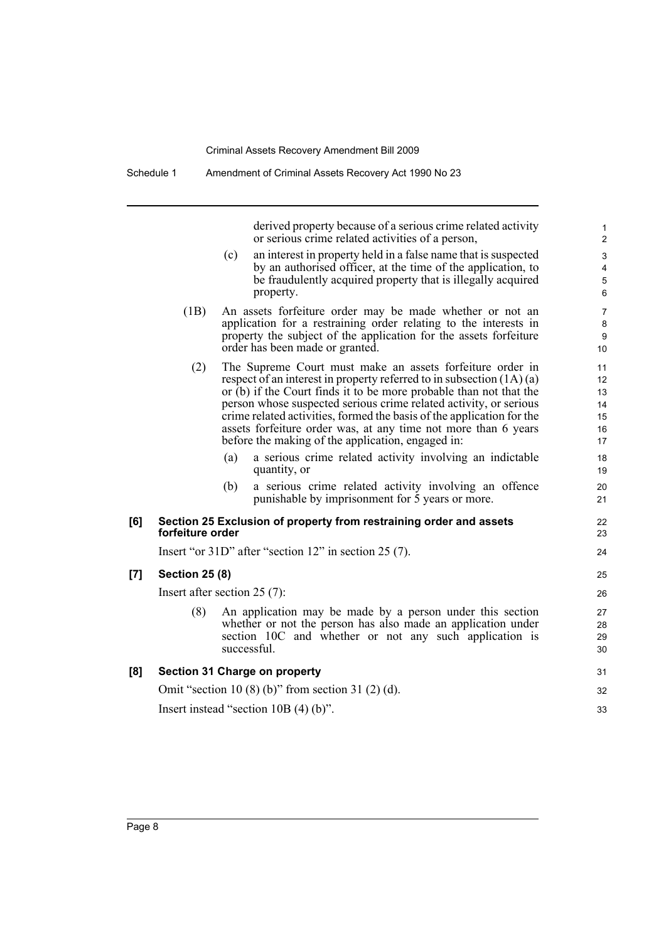Schedule 1 Amendment of Criminal Assets Recovery Act 1990 No 23

|     |                       | derived property because of a serious crime related activity<br>or serious crime related activities of a person,                                                                                                                                                                                                                                                                                                                                                               | 1<br>$\overline{2}$                         |
|-----|-----------------------|--------------------------------------------------------------------------------------------------------------------------------------------------------------------------------------------------------------------------------------------------------------------------------------------------------------------------------------------------------------------------------------------------------------------------------------------------------------------------------|---------------------------------------------|
|     |                       | an interest in property held in a false name that is suspected<br>(c)<br>by an authorised officer, at the time of the application, to<br>be fraudulently acquired property that is illegally acquired<br>property.                                                                                                                                                                                                                                                             | $\mathsf 3$<br>4<br>$\mathbf 5$<br>6        |
|     | (1B)                  | An assets forfeiture order may be made whether or not an<br>application for a restraining order relating to the interests in<br>property the subject of the application for the assets forfeiture<br>order has been made or granted.                                                                                                                                                                                                                                           | $\overline{7}$<br>8<br>9<br>10 <sup>°</sup> |
|     | (2)                   | The Supreme Court must make an assets forfeiture order in<br>respect of an interest in property referred to in subsection $(1A)(a)$<br>or (b) if the Court finds it to be more probable than not that the<br>person whose suspected serious crime related activity, or serious<br>crime related activities, formed the basis of the application for the<br>assets forfeiture order was, at any time not more than 6 years<br>before the making of the application, engaged in: | 11<br>12<br>13<br>14<br>15<br>16<br>17      |
|     |                       | (a)<br>a serious crime related activity involving an indictable<br>quantity, or                                                                                                                                                                                                                                                                                                                                                                                                | 18<br>19                                    |
|     |                       | (b)<br>a serious crime related activity involving an offence<br>punishable by imprisonment for 5 years or more.                                                                                                                                                                                                                                                                                                                                                                | 20<br>21                                    |
| [6] | forfeiture order      | Section 25 Exclusion of property from restraining order and assets                                                                                                                                                                                                                                                                                                                                                                                                             | 22<br>23                                    |
|     |                       | Insert "or $31D$ " after "section $12$ " in section $25(7)$ .                                                                                                                                                                                                                                                                                                                                                                                                                  | 24                                          |
| [7] | <b>Section 25 (8)</b> |                                                                                                                                                                                                                                                                                                                                                                                                                                                                                | 25                                          |
|     |                       | Insert after section $25(7)$ :                                                                                                                                                                                                                                                                                                                                                                                                                                                 | 26                                          |
|     | (8)                   | An application may be made by a person under this section<br>whether or not the person has also made an application under<br>section 10C and whether or not any such application is<br>successful.                                                                                                                                                                                                                                                                             | 27<br>28<br>29<br>30                        |
| [8] |                       | Section 31 Charge on property                                                                                                                                                                                                                                                                                                                                                                                                                                                  | 31                                          |
|     |                       | Omit "section 10 (8) (b)" from section 31 (2) (d).                                                                                                                                                                                                                                                                                                                                                                                                                             | 32                                          |
|     |                       | Insert instead "section $10B(4)(b)$ ".                                                                                                                                                                                                                                                                                                                                                                                                                                         | 33                                          |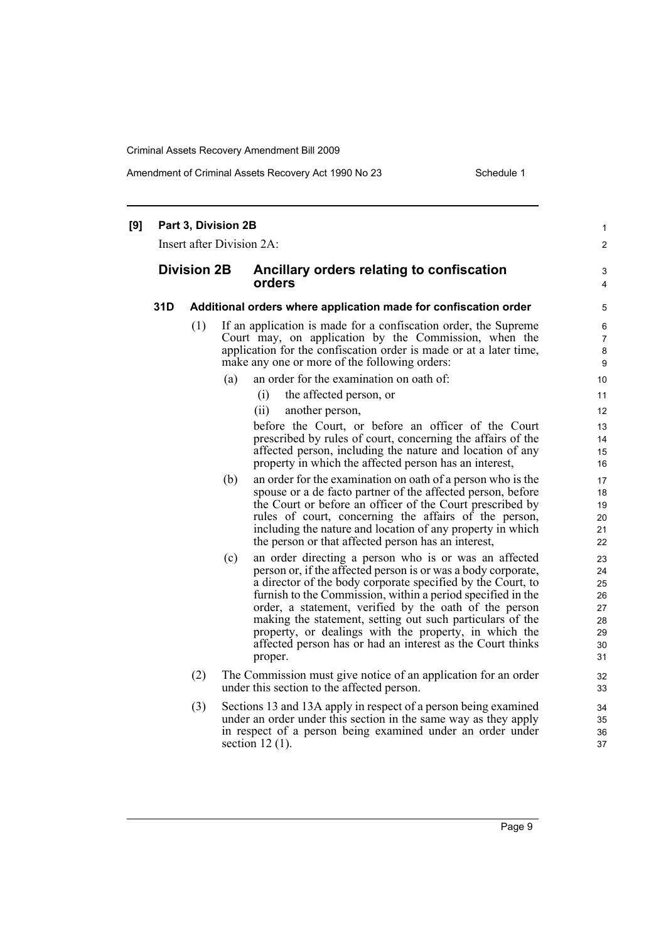Amendment of Criminal Assets Recovery Act 1990 No 23 Schedule 1

| [9] |                    | Part 3, Division 2B<br>Insert after Division 2A: |     |                   |                                                                                                                                                                                                                                                                                                                                                                                                                                                                                                    | 1<br>$\overline{2}$                                |
|-----|--------------------|--------------------------------------------------|-----|-------------------|----------------------------------------------------------------------------------------------------------------------------------------------------------------------------------------------------------------------------------------------------------------------------------------------------------------------------------------------------------------------------------------------------------------------------------------------------------------------------------------------------|----------------------------------------------------|
|     | <b>Division 2B</b> |                                                  |     | orders            | Ancillary orders relating to confiscation                                                                                                                                                                                                                                                                                                                                                                                                                                                          | 3<br>$\overline{4}$                                |
|     | 31D                |                                                  |     |                   | Additional orders where application made for confiscation order                                                                                                                                                                                                                                                                                                                                                                                                                                    | 5                                                  |
|     |                    | (1)                                              |     |                   | If an application is made for a confiscation order, the Supreme<br>Court may, on application by the Commission, when the<br>application for the confiscation order is made or at a later time,<br>make any one or more of the following orders:                                                                                                                                                                                                                                                    | 6<br>7<br>8<br>9                                   |
|     |                    |                                                  | (a) |                   | an order for the examination on oath of:                                                                                                                                                                                                                                                                                                                                                                                                                                                           | 10                                                 |
|     |                    |                                                  |     | (i)               | the affected person, or                                                                                                                                                                                                                                                                                                                                                                                                                                                                            | 11                                                 |
|     |                    |                                                  |     | (ii)              | another person,                                                                                                                                                                                                                                                                                                                                                                                                                                                                                    | 12                                                 |
|     |                    |                                                  |     |                   | before the Court, or before an officer of the Court<br>prescribed by rules of court, concerning the affairs of the<br>affected person, including the nature and location of any<br>property in which the affected person has an interest,                                                                                                                                                                                                                                                          | 13<br>14<br>15<br>16                               |
|     |                    |                                                  | (b) |                   | an order for the examination on oath of a person who is the<br>spouse or a de facto partner of the affected person, before<br>the Court or before an officer of the Court prescribed by<br>rules of court, concerning the affairs of the person,<br>including the nature and location of any property in which<br>the person or that affected person has an interest,                                                                                                                              | 17<br>18<br>19<br>20<br>21<br>22                   |
|     |                    |                                                  | (c) | proper.           | an order directing a person who is or was an affected<br>person or, if the affected person is or was a body corporate,<br>a director of the body corporate specified by the Court, to<br>furnish to the Commission, within a period specified in the<br>order, a statement, verified by the oath of the person<br>making the statement, setting out such particulars of the<br>property, or dealings with the property, in which the<br>affected person has or had an interest as the Court thinks | 23<br>24<br>25<br>26<br>27<br>28<br>29<br>30<br>31 |
|     |                    | (2)                                              |     |                   | The Commission must give notice of an application for an order<br>under this section to the affected person.                                                                                                                                                                                                                                                                                                                                                                                       | 32<br>33                                           |
|     |                    | (3)                                              |     | section $12(1)$ . | Sections 13 and 13A apply in respect of a person being examined<br>under an order under this section in the same way as they apply<br>in respect of a person being examined under an order under                                                                                                                                                                                                                                                                                                   | 34<br>35<br>36<br>37                               |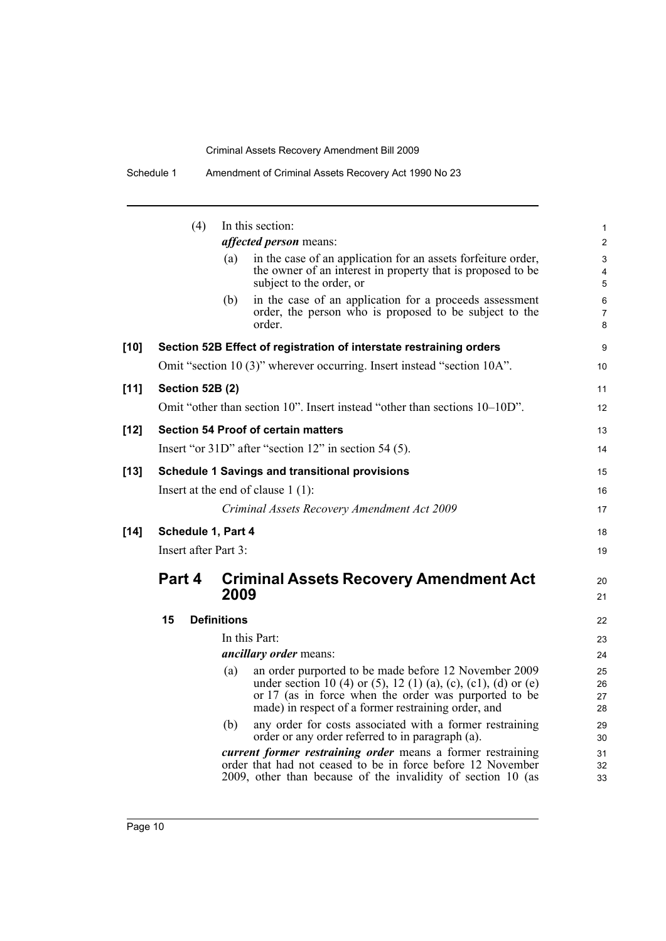Schedule 1 Amendment of Criminal Assets Recovery Act 1990 No 23

|        | (4)                    | In this section:<br><i>affected person</i> means:                                                                                                                                                                                              |
|--------|------------------------|------------------------------------------------------------------------------------------------------------------------------------------------------------------------------------------------------------------------------------------------|
|        |                        | in the case of an application for an assets forfeiture order,<br>(a)<br>the owner of an interest in property that is proposed to be<br>subject to the order, or                                                                                |
|        |                        | in the case of an application for a proceeds assessment<br>(b)<br>order, the person who is proposed to be subject to the<br>order.                                                                                                             |
| $[10]$ |                        | Section 52B Effect of registration of interstate restraining orders                                                                                                                                                                            |
|        |                        | Omit "section 10 (3)" wherever occurring. Insert instead "section 10A".                                                                                                                                                                        |
| $[11]$ | <b>Section 52B (2)</b> |                                                                                                                                                                                                                                                |
|        |                        | Omit "other than section 10". Insert instead "other than sections 10–10D".                                                                                                                                                                     |
| $[12]$ |                        | <b>Section 54 Proof of certain matters</b>                                                                                                                                                                                                     |
|        |                        | Insert "or 31D" after "section 12" in section 54 (5).                                                                                                                                                                                          |
|        |                        | <b>Schedule 1 Savings and transitional provisions</b>                                                                                                                                                                                          |
| $[13]$ |                        | Insert at the end of clause $1(1)$ :                                                                                                                                                                                                           |
|        |                        | Criminal Assets Recovery Amendment Act 2009                                                                                                                                                                                                    |
|        |                        |                                                                                                                                                                                                                                                |
| $[14]$ |                        | Schedule 1, Part 4<br>Insert after Part 3:                                                                                                                                                                                                     |
|        | Part 4                 | <b>Criminal Assets Recovery Amendment Act</b><br>2009                                                                                                                                                                                          |
|        | 15                     | <b>Definitions</b>                                                                                                                                                                                                                             |
|        |                        | In this Part:                                                                                                                                                                                                                                  |
|        |                        | <i>ancillary order means:</i>                                                                                                                                                                                                                  |
|        |                        | an order purported to be made before 12 November 2009<br>(a)<br>under section 10 (4) or (5), 12 (1) (a), (c), (c1), (d) or (e)<br>or 17 (as in force when the order was purported to be<br>made) in respect of a former restraining order, and |
|        |                        | any order for costs associated with a former restraining<br>(b)<br>order or any order referred to in paragraph (a).                                                                                                                            |
|        |                        |                                                                                                                                                                                                                                                |

9 10

11 12

13 14

15 16 17

18 19

20 21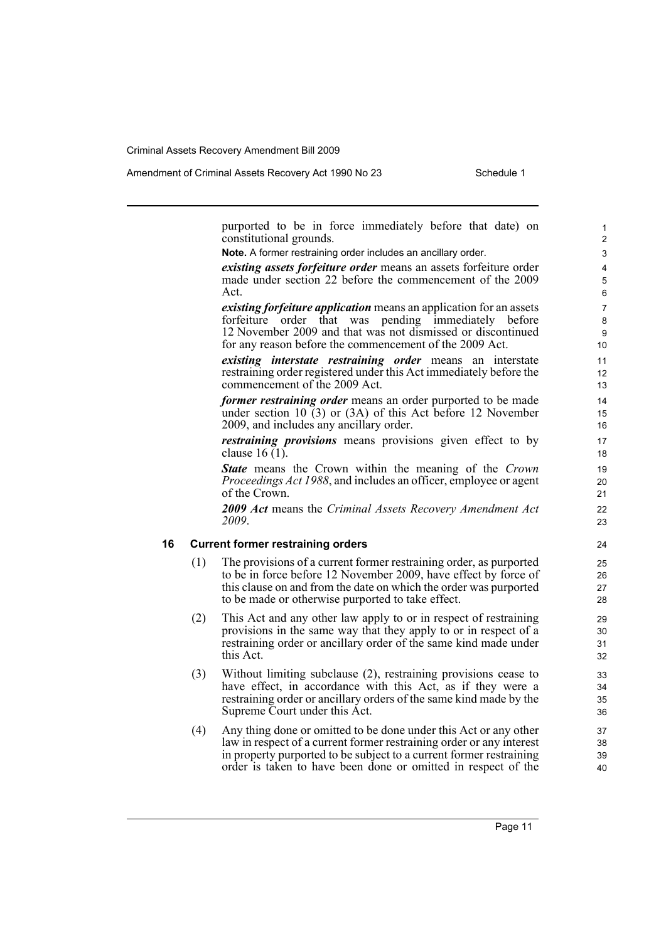purported to be in force immediately before that date) on constitutional grounds.

**Note.** A former restraining order includes an ancillary order.

*existing assets forfeiture order* means an assets forfeiture order made under section 22 before the commencement of the 2009 Act.

*existing forfeiture application* means an application for an assets forfeiture order that was pending immediately before 12 November 2009 and that was not dismissed or discontinued for any reason before the commencement of the 2009 Act.

*existing interstate restraining order* means an interstate restraining order registered under this Act immediately before the commencement of the 2009 Act.

*former restraining order* means an order purported to be made under section 10  $(3)$  or  $(3A)$  of this Act before 12 November 2009, and includes any ancillary order.

*restraining provisions* means provisions given effect to by clause 16 (1).

*State* means the Crown within the meaning of the *Crown Proceedings Act 1988*, and includes an officer, employee or agent of the Crown.

*2009 Act* means the *Criminal Assets Recovery Amendment Act 2009*.

#### **16 Current former restraining orders**

- (1) The provisions of a current former restraining order, as purported to be in force before 12 November 2009, have effect by force of this clause on and from the date on which the order was purported to be made or otherwise purported to take effect.
- (2) This Act and any other law apply to or in respect of restraining provisions in the same way that they apply to or in respect of a restraining order or ancillary order of the same kind made under this Act.
- (3) Without limiting subclause (2), restraining provisions cease to have effect, in accordance with this Act, as if they were a restraining order or ancillary orders of the same kind made by the Supreme Court under this Act.
- (4) Any thing done or omitted to be done under this Act or any other law in respect of a current former restraining order or any interest in property purported to be subject to a current former restraining order is taken to have been done or omitted in respect of the

Page 11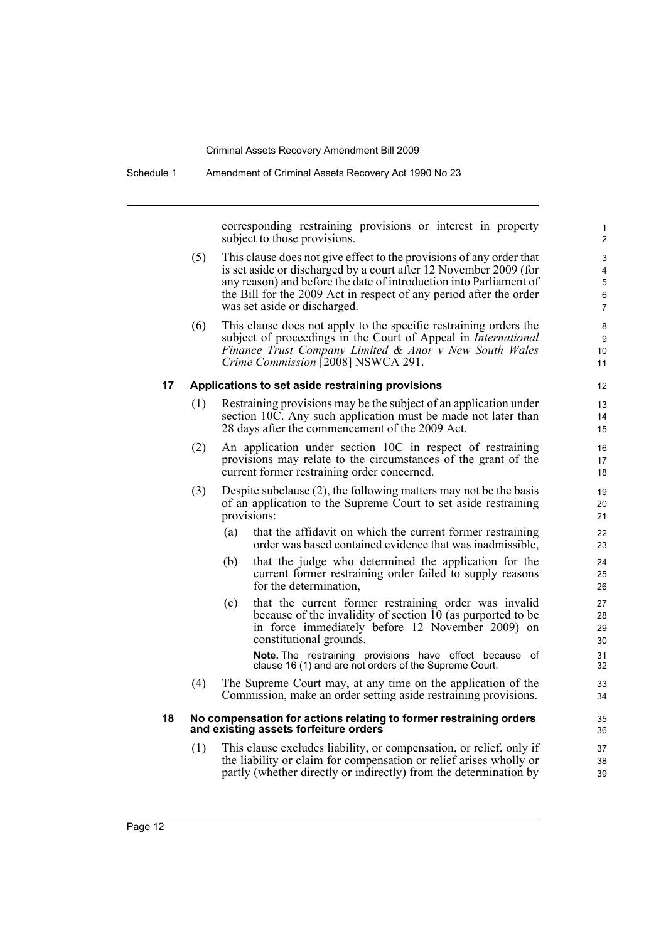Schedule 1 Amendment of Criminal Assets Recovery Act 1990 No 23

corresponding restraining provisions or interest in property subject to those provisions.

- (5) This clause does not give effect to the provisions of any order that is set aside or discharged by a court after 12 November 2009 (for any reason) and before the date of introduction into Parliament of the Bill for the 2009 Act in respect of any period after the order was set aside or discharged.
- (6) This clause does not apply to the specific restraining orders the subject of proceedings in the Court of Appeal in *International Finance Trust Company Limited & Anor v New South Wales Crime Commission* [2008] NSWCA 291.

#### **17 Applications to set aside restraining provisions**

- (1) Restraining provisions may be the subject of an application under section 10C. Any such application must be made not later than 28 days after the commencement of the 2009 Act.
- (2) An application under section 10C in respect of restraining provisions may relate to the circumstances of the grant of the current former restraining order concerned.
- (3) Despite subclause (2), the following matters may not be the basis of an application to the Supreme Court to set aside restraining provisions:
	- (a) that the affidavit on which the current former restraining order was based contained evidence that was inadmissible,
	- (b) that the judge who determined the application for the current former restraining order failed to supply reasons for the determination,
	- (c) that the current former restraining order was invalid because of the invalidity of section  $10$  (as purported to be in force immediately before 12 November 2009) on constitutional grounds.

**Note.** The restraining provisions have effect because of clause 16 (1) and are not orders of the Supreme Court.

(4) The Supreme Court may, at any time on the application of the Commission, make an order setting aside restraining provisions.

#### **18 No compensation for actions relating to former restraining orders and existing assets forfeiture orders**

(1) This clause excludes liability, or compensation, or relief, only if the liability or claim for compensation or relief arises wholly or partly (whether directly or indirectly) from the determination by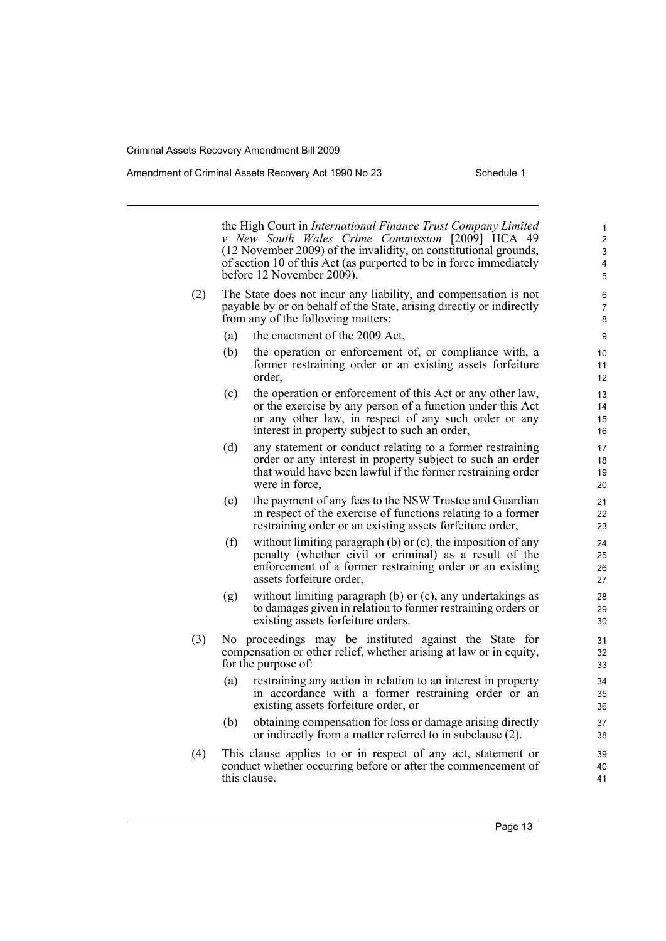#### Amendment of Criminal Assets Recovery Act 1990 No 23 Schedule 1

the High Court in *International Finance Trust Company Limited v New South Wales Crime Commission* [2009] HCA 49 (12 November 2009) of the invalidity, on constitutional grounds, of section 10 of this Act (as purported to be in force immediately before 12 November 2009).

- (2) The State does not incur any liability, and compensation is not payable by or on behalf of the State, arising directly or indirectly from any of the following matters:
	- (a) the enactment of the 2009 Act,
	- (b) the operation or enforcement of, or compliance with, a former restraining order or an existing assets forfeiture order,
	- (c) the operation or enforcement of this Act or any other law, or the exercise by any person of a function under this Act or any other law, in respect of any such order or any interest in property subject to such an order,
	- (d) any statement or conduct relating to a former restraining order or any interest in property subject to such an order that would have been lawful if the former restraining order were in force,
	- (e) the payment of any fees to the NSW Trustee and Guardian in respect of the exercise of functions relating to a former restraining order or an existing assets forfeiture order,
	- (f) without limiting paragraph (b) or  $(c)$ , the imposition of any penalty (whether civil or criminal) as a result of the enforcement of a former restraining order or an existing assets forfeiture order,
	- (g) without limiting paragraph (b) or (c), any undertakings as to damages given in relation to former restraining orders or existing assets forfeiture orders.
- (3) No proceedings may be instituted against the State for compensation or other relief, whether arising at law or in equity, for the purpose of:
	- (a) restraining any action in relation to an interest in property in accordance with a former restraining order or an existing assets forfeiture order, or
	- (b) obtaining compensation for loss or damage arising directly or indirectly from a matter referred to in subclause (2).
- (4) This clause applies to or in respect of any act, statement or conduct whether occurring before or after the commencement of this clause.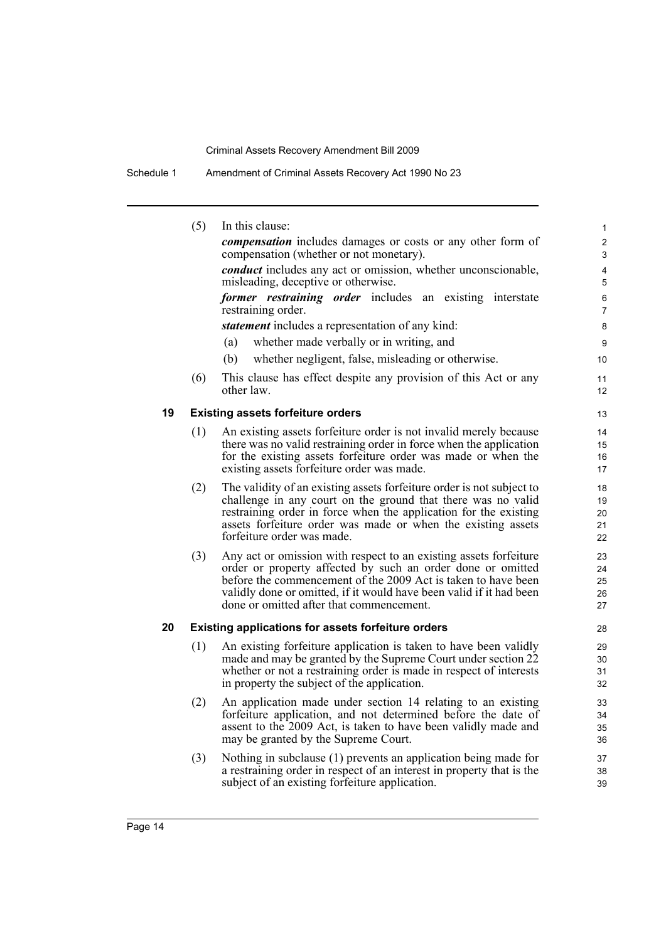Schedule 1 Amendment of Criminal Assets Recovery Act 1990 No 23

|    | (5) | In this clause:                                                                                                                  | $\mathbf{1}$            |
|----|-----|----------------------------------------------------------------------------------------------------------------------------------|-------------------------|
|    |     | <i>compensation</i> includes damages or costs or any other form of<br>compensation (whether or not monetary).                    | $\overline{2}$<br>3     |
|    |     | <i>conduct</i> includes any act or omission, whether unconscionable,                                                             | 4                       |
|    |     | misleading, deceptive or otherwise.                                                                                              | 5                       |
|    |     | former restraining order includes an existing interstate<br>restraining order.                                                   | 6<br>7                  |
|    |     | <i>statement</i> includes a representation of any kind:                                                                          | 8                       |
|    |     | whether made verbally or in writing, and<br>(a)                                                                                  | 9                       |
|    |     | (b)<br>whether negligent, false, misleading or otherwise.                                                                        | 10                      |
|    | (6) | This clause has effect despite any provision of this Act or any<br>other law.                                                    | 11<br>$12 \overline{ }$ |
| 19 |     | <b>Existing assets forfeiture orders</b>                                                                                         | 13                      |
|    | (1) | An existing assets forfeiture order is not invalid merely because                                                                | 14                      |
|    |     | there was no valid restraining order in force when the application                                                               | 15                      |
|    |     | for the existing assets forfeiture order was made or when the                                                                    | 16                      |
|    |     | existing assets forfeiture order was made.                                                                                       | 17                      |
|    | (2) | The validity of an existing assets forfeiture order is not subject to                                                            | 18                      |
|    |     | challenge in any court on the ground that there was no valid                                                                     | 19                      |
|    |     | restraining order in force when the application for the existing                                                                 | 20                      |
|    |     | assets forfeiture order was made or when the existing assets<br>forfeiture order was made.                                       | 21<br>22                |
|    |     |                                                                                                                                  |                         |
|    | (3) | Any act or omission with respect to an existing assets forfeiture<br>order or property affected by such an order done or omitted | 23                      |
|    |     | before the commencement of the 2009 Act is taken to have been                                                                    | 24<br>25                |
|    |     | validly done or omitted, if it would have been valid if it had been                                                              | 26                      |
|    |     | done or omitted after that commencement.                                                                                         | 27                      |
| 20 |     | Existing applications for assets forfeiture orders                                                                               | 28                      |
|    | (1) | An existing forfeiture application is taken to have been validly                                                                 | 29                      |
|    |     | made and may be granted by the Supreme Court under section 22                                                                    | 30                      |
|    |     | whether or not a restraining order is made in respect of interests                                                               | 31                      |
|    |     | in property the subject of the application.                                                                                      | 32                      |
|    | (2) | An application made under section 14 relating to an existing                                                                     | 33                      |
|    |     | forfeiture application, and not determined before the date of                                                                    | 34                      |
|    |     | assent to the 2009 Act, is taken to have been validly made and<br>may be granted by the Supreme Court.                           | 35<br>36                |
|    | (3) | Nothing in subclause (1) prevents an application being made for                                                                  | 37                      |
|    |     | a restraining order in respect of an interest in property that is the                                                            | 38                      |
|    |     | subject of an existing forfeiture application.                                                                                   | 39                      |
|    |     |                                                                                                                                  |                         |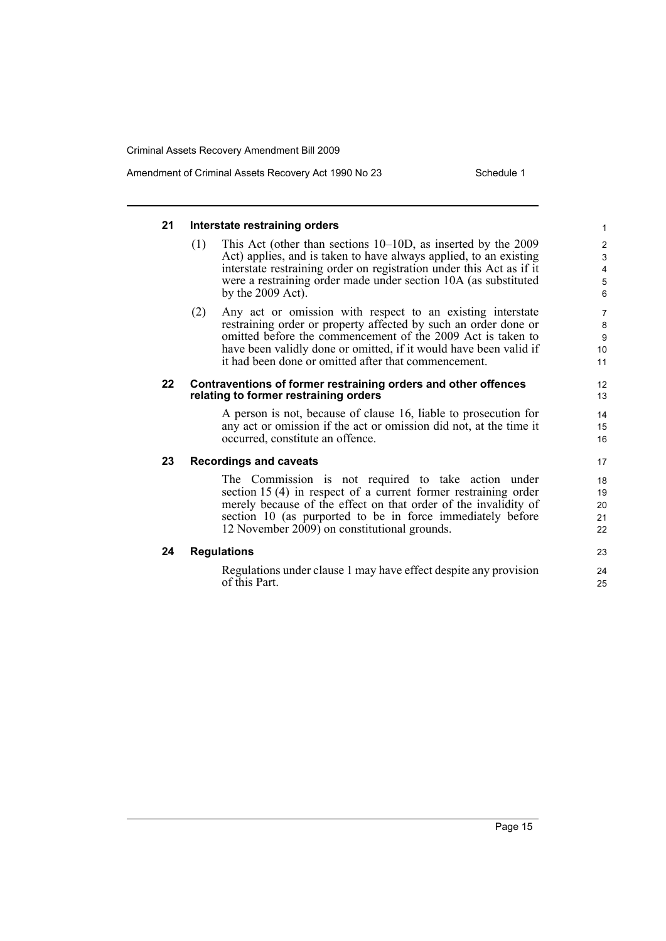#### **21 Interstate restraining orders** (1) This Act (other than sections 10–10D, as inserted by the 2009 Act) applies, and is taken to have always applied, to an existing interstate restraining order on registration under this Act as if it were a restraining order made under section 10A (as substituted by the 2009 Act). (2) Any act or omission with respect to an existing interstate restraining order or property affected by such an order done or omitted before the commencement of the 2009 Act is taken to have been validly done or omitted, if it would have been valid if it had been done or omitted after that commencement. **22 Contraventions of former restraining orders and other offences relating to former restraining orders** A person is not, because of clause 16, liable to prosecution for any act or omission if the act or omission did not, at the time it occurred, constitute an offence. **23 Recordings and caveats** The Commission is not required to take action under section 15 (4) in respect of a current former restraining order merely because of the effect on that order of the invalidity of section 10 (as purported to be in force immediately before 12 November 2009) on constitutional grounds. **24 Regulations** Regulations under clause 1 may have effect despite any provision of this Part. 1 2 3 4 5 6 7 8 9  $10$ 11 12 13 14 15 16 17 18 19 20 21 22 23 24 25